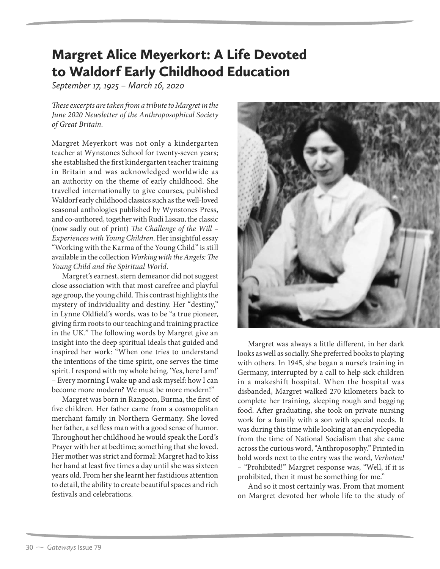## Margret Alice Meyerkort: A Life Devoted to Waldorf Early Childhood Education

*September 17, 1925 – March 16, 2020*

These excerpts are taken from a tribute to Margret in the June 2020 Newsletter of the Anthroposophical Society of Great Britain.

Margret Meyerkort was not only a kindergarten teacher at Wynstones School for twenty-seven years; she established the first kindergarten teacher training in Britain and was acknowledged worldwide as an authority on the theme of early childhood. She travelled internationally to give courses, published Waldorf early childhood classics such as the well-loved seasonal anthologies published by Wynstones Press, and co-authored, together with Rudi Lissau, the classic (now sadly out of print) The Challenge of the Will – Experiences with Young Children. Her insightful essay "Working with the Karma of the Young Child" is still available in the collection Working with the Angels: The Young Child and the Spiritual World.

Margret's earnest, stern demeanor did not suggest close association with that most carefree and playful age group, the young child. This contrast highlights the mystery of individuality and destiny. Her "destiny," in Lynne Oldfield's words, was to be "a true pioneer, giving firm roots to our teaching and training practice in the UK." The following words by Margret give an insight into the deep spiritual ideals that guided and inspired her work: "When one tries to understand the intentions of the time spirit, one serves the time spirit. I respond with my whole being. 'Yes, here I am!' – Every morning I wake up and ask myself: how I can become more modern? We must be more modern!"

Margret was born in Rangoon, Burma, the first of five children. Her father came from a cosmopolitan merchant family in Northern Germany. She loved her father, a selfless man with a good sense of humor. Throughout her childhood he would speak the Lord's Prayer with her at bedtime; something that she loved. Her mother was strict and formal: Margret had to kiss her hand at least five times a day until she was sixteen years old. From her she learnt her fastidious attention to detail, the ability to create beautiful spaces and rich festivals and celebrations.



Margret was always a little different, in her dark looks as well as socially. She preferred books to playing with others. In 1945, she began a nurse's training in Germany, interrupted by a call to help sick children in a makeshift hospital. When the hospital was disbanded, Margret walked 270 kilometers back to complete her training, sleeping rough and begging food. After graduating, she took on private nursing work for a family with a son with special needs. It was during this time while looking at an encyclopedia from the time of National Socialism that she came across the curious word, "Anthroposophy." Printed in bold words next to the entry was the word, Verboten! – "Prohibited!" Margret response was, "Well, if it is prohibited, then it must be something for me."

And so it most certainly was. From that moment on Margret devoted her whole life to the study of